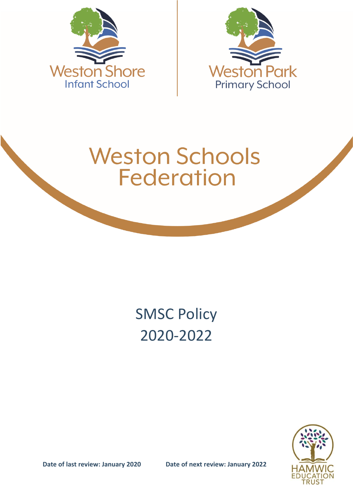



# **Weston Schools Federation**

# SMSC Policy 2020-2022

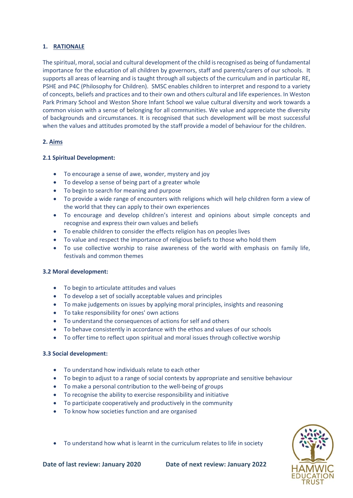# **1. RATIONALE**

The spiritual, moral, social and cultural development of the child is recognised as being of fundamental importance for the education of all children by governors, staff and parents/carers of our schools. It supports all areas of learning and is taught through all subjects of the curriculum and in particular RE, PSHE and P4C (Philosophy for Children). SMSC enables children to interpret and respond to a variety of concepts, beliefs and practices and to their own and others cultural and life experiences. In Weston Park Primary School and Weston Shore Infant School we value cultural diversity and work towards a common vision with a sense of belonging for all communities. We value and appreciate the diversity of backgrounds and circumstances. It is recognised that such development will be most successful when the values and attitudes promoted by the staff provide a model of behaviour for the children.

# **2. Aims**

# **2.1 Spiritual Development:**

- To encourage a sense of awe, wonder, mystery and joy
- To develop a sense of being part of a greater whole
- To begin to search for meaning and purpose
- To provide a wide range of encounters with religions which will help children form a view of the world that they can apply to their own experiences
- To encourage and develop children's interest and opinions about simple concepts and recognise and express their own values and beliefs
- To enable children to consider the effects religion has on peoples lives
- To value and respect the importance of religious beliefs to those who hold them
- To use collective worship to raise awareness of the world with emphasis on family life, festivals and common themes

#### **3.2 Moral development:**

- To begin to articulate attitudes and values
- To develop a set of socially acceptable values and principles
- To make judgements on issues by applying moral principles, insights and reasoning
- To take responsibility for ones' own actions
- To understand the consequences of actions for self and others
- To behave consistently in accordance with the ethos and values of our schools
- To offer time to reflect upon spiritual and moral issues through collective worship

#### **3.3 Social development:**

- To understand how individuals relate to each other
- To begin to adjust to a range of social contexts by appropriate and sensitive behaviour
- To make a personal contribution to the well-being of groups
- To recognise the ability to exercise responsibility and initiative
- To participate cooperatively and productively in the community
- To know how societies function and are organised

- 
- To understand how what is learnt in the curriculum relates to life in society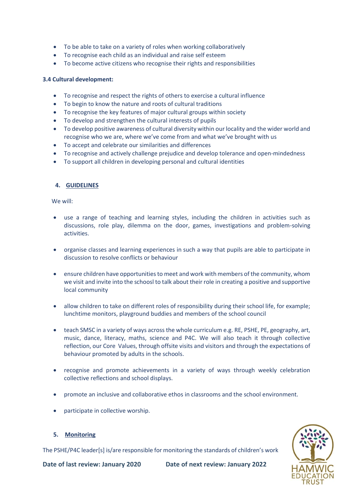- To be able to take on a variety of roles when working collaboratively
- To recognise each child as an individual and raise self esteem
- To become active citizens who recognise their rights and responsibilities

#### **3.4 Cultural development:**

- To recognise and respect the rights of others to exercise a cultural influence
- To begin to know the nature and roots of cultural traditions
- To recognise the key features of major cultural groups within society
- To develop and strengthen the cultural interests of pupils
- To develop positive awareness of cultural diversity within our locality and the wider world and recognise who we are, where we've come from and what we've brought with us
- To accept and celebrate our similarities and differences
- To recognise and actively challenge prejudice and develop tolerance and open-mindedness
- To support all children in developing personal and cultural identities

# **4. GUIDELINES**

We will:

- use a range of teaching and learning styles, including the children in activities such as discussions, role play, dilemma on the door, games, investigations and problem-solving activities.
- organise classes and learning experiences in such a way that pupils are able to participate in discussion to resolve conflicts or behaviour
- ensure children have opportunities to meet and work with members of the community, whom we visit and invite into the schoosl to talk about their role in creating a positive and supportive local community
- allow children to take on different roles of responsibility during their school life, for example; lunchtime monitors, playground buddies and members of the school council
- teach SMSC in a variety of ways across the whole curriculum e.g. RE, PSHE, PE, geography, art, music, dance, literacy, maths, science and P4C. We will also teach it through collective reflection, our Core Values, through offsite visits and visitors and through the expectations of behaviour promoted by adults in the schools.
- recognise and promote achievements in a variety of ways through weekly celebration collective reflections and school displays.
- promote an inclusive and collaborative ethos in classrooms and the school environment.
- participate in collective worship.

#### **5. Monitoring**

The PSHE/P4C leader[s] is/are responsible for monitoring the standards of children's work

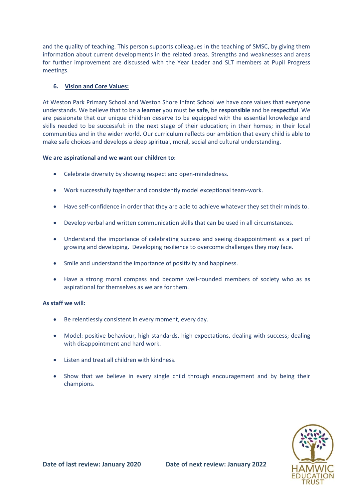and the quality of teaching. This person supports colleagues in the teaching of SMSC, by giving them information about current developments in the related areas. Strengths and weaknesses and areas for further improvement are discussed with the Year Leader and SLT members at Pupil Progress meetings.

# **6. Vision and Core Values:**

At Weston Park Primary School and Weston Shore Infant School we have core values that everyone understands. We believe that to be a **learner** you must be **safe**, be **responsible** and be **respectful**. We are passionate that our unique children deserve to be equipped with the essential knowledge and skills needed to be successful: in the next stage of their education; in their homes; in their local communities and in the wider world. Our curriculum reflects our ambition that every child is able to make safe choices and develops a deep spiritual, moral, social and cultural understanding.

#### **We are aspirational and we want our children to:**

- Celebrate diversity by showing respect and open-mindedness.
- Work successfully together and consistently model exceptional team-work.
- Have self-confidence in order that they are able to achieve whatever they set their minds to.
- Develop verbal and written communication skills that can be used in all circumstances.
- Understand the importance of celebrating success and seeing disappointment as a part of growing and developing. Developing resilience to overcome challenges they may face.
- Smile and understand the importance of positivity and happiness.
- Have a strong moral compass and become well-rounded members of society who as as aspirational for themselves as we are for them.

#### **As staff we will:**

- Be relentlessly consistent in every moment, every day.
- Model: positive behaviour, high standards, high expectations, dealing with success; dealing with disappointment and hard work.
- Listen and treat all children with kindness.
- Show that we believe in every single child through encouragement and by being their champions.